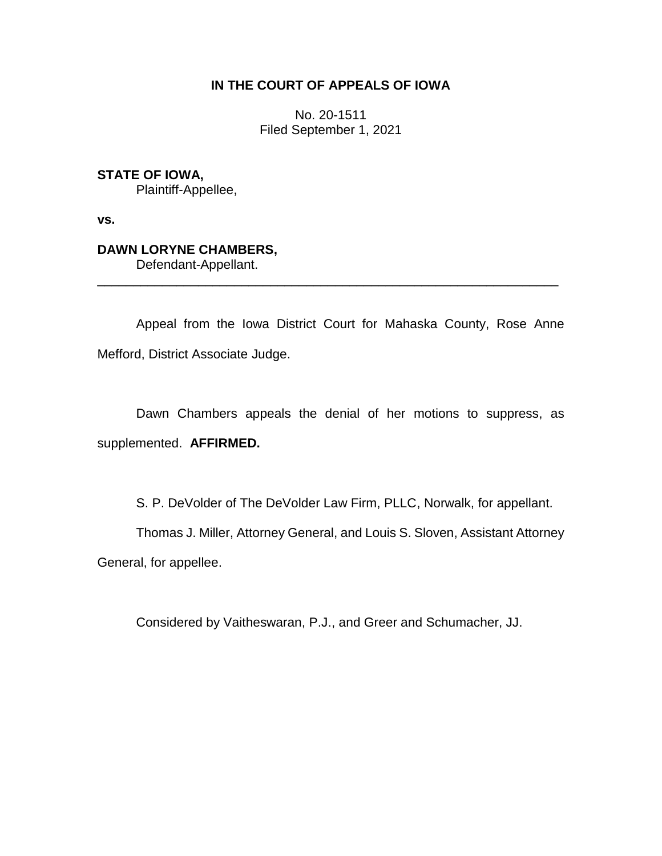## **IN THE COURT OF APPEALS OF IOWA**

No. 20-1511 Filed September 1, 2021

# **STATE OF IOWA,**

Plaintiff-Appellee,

**vs.**

# **DAWN LORYNE CHAMBERS,**

Defendant-Appellant.

Appeal from the Iowa District Court for Mahaska County, Rose Anne Mefford, District Associate Judge.

\_\_\_\_\_\_\_\_\_\_\_\_\_\_\_\_\_\_\_\_\_\_\_\_\_\_\_\_\_\_\_\_\_\_\_\_\_\_\_\_\_\_\_\_\_\_\_\_\_\_\_\_\_\_\_\_\_\_\_\_\_\_\_\_

Dawn Chambers appeals the denial of her motions to suppress, as supplemented. **AFFIRMED.**

S. P. DeVolder of The DeVolder Law Firm, PLLC, Norwalk, for appellant.

Thomas J. Miller, Attorney General, and Louis S. Sloven, Assistant Attorney

General, for appellee.

Considered by Vaitheswaran, P.J., and Greer and Schumacher, JJ.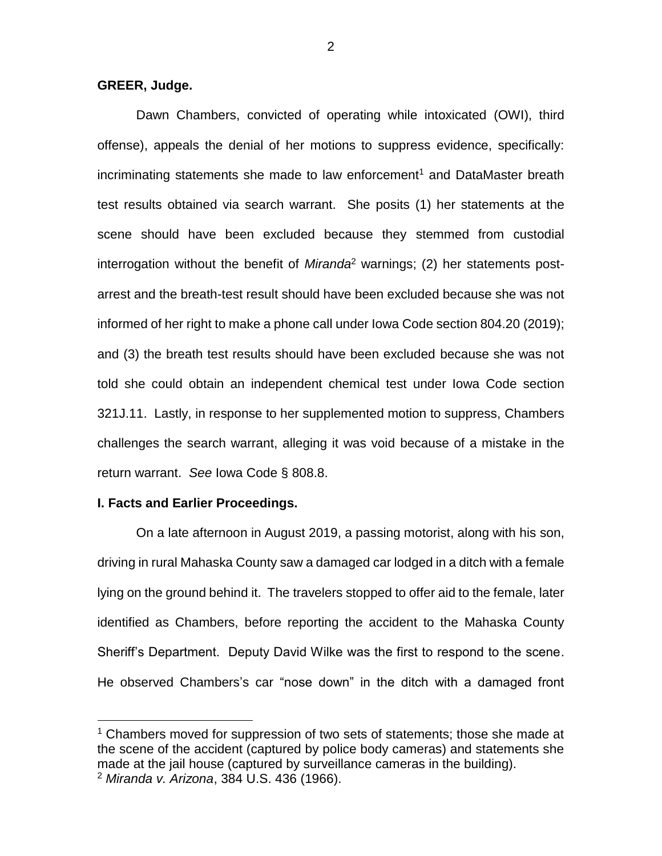## **GREER, Judge.**

Dawn Chambers, convicted of operating while intoxicated (OWI), third offense), appeals the denial of her motions to suppress evidence, specifically: incriminating statements she made to law enforcement<sup>1</sup> and DataMaster breath test results obtained via search warrant. She posits (1) her statements at the scene should have been excluded because they stemmed from custodial interrogation without the benefit of *Miranda*<sup>2</sup> warnings; (2) her statements postarrest and the breath-test result should have been excluded because she was not informed of her right to make a phone call under Iowa Code section 804.20 (2019); and (3) the breath test results should have been excluded because she was not told she could obtain an independent chemical test under Iowa Code section 321J.11. Lastly, in response to her supplemented motion to suppress, Chambers challenges the search warrant, alleging it was void because of a mistake in the return warrant. *See* Iowa Code § 808.8.

### **I. Facts and Earlier Proceedings.**

 $\overline{a}$ 

On a late afternoon in August 2019, a passing motorist, along with his son, driving in rural Mahaska County saw a damaged car lodged in a ditch with a female lying on the ground behind it. The travelers stopped to offer aid to the female, later identified as Chambers, before reporting the accident to the Mahaska County Sheriff's Department. Deputy David Wilke was the first to respond to the scene. He observed Chambers's car "nose down" in the ditch with a damaged front

<sup>&</sup>lt;sup>1</sup> Chambers moved for suppression of two sets of statements; those she made at the scene of the accident (captured by police body cameras) and statements she made at the jail house (captured by surveillance cameras in the building). <sup>2</sup> *Miranda v. Arizona*, 384 U.S. 436 (1966).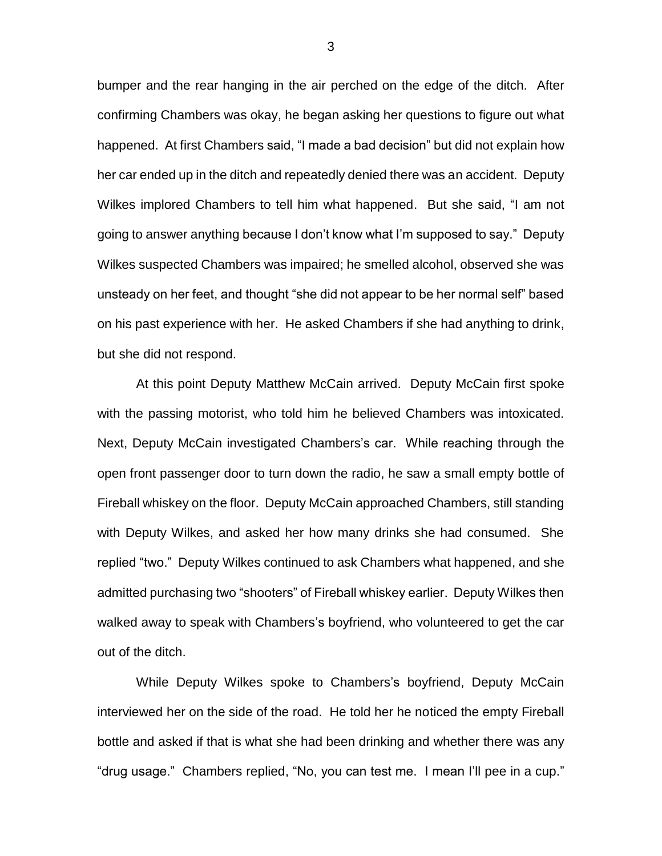bumper and the rear hanging in the air perched on the edge of the ditch. After confirming Chambers was okay, he began asking her questions to figure out what happened. At first Chambers said, "I made a bad decision" but did not explain how her car ended up in the ditch and repeatedly denied there was an accident. Deputy Wilkes implored Chambers to tell him what happened. But she said, "I am not going to answer anything because I don't know what I'm supposed to say." Deputy Wilkes suspected Chambers was impaired; he smelled alcohol, observed she was unsteady on her feet, and thought "she did not appear to be her normal self" based on his past experience with her. He asked Chambers if she had anything to drink, but she did not respond.

At this point Deputy Matthew McCain arrived. Deputy McCain first spoke with the passing motorist, who told him he believed Chambers was intoxicated. Next, Deputy McCain investigated Chambers's car. While reaching through the open front passenger door to turn down the radio, he saw a small empty bottle of Fireball whiskey on the floor. Deputy McCain approached Chambers, still standing with Deputy Wilkes, and asked her how many drinks she had consumed. She replied "two." Deputy Wilkes continued to ask Chambers what happened, and she admitted purchasing two "shooters" of Fireball whiskey earlier. Deputy Wilkes then walked away to speak with Chambers's boyfriend, who volunteered to get the car out of the ditch.

While Deputy Wilkes spoke to Chambers's boyfriend, Deputy McCain interviewed her on the side of the road. He told her he noticed the empty Fireball bottle and asked if that is what she had been drinking and whether there was any "drug usage." Chambers replied, "No, you can test me. I mean I'll pee in a cup."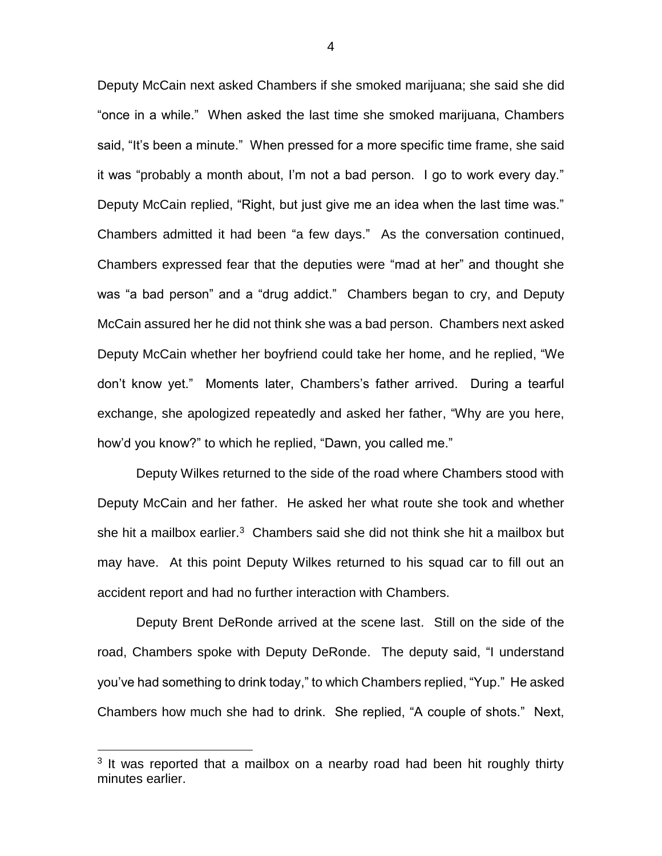Deputy McCain next asked Chambers if she smoked marijuana; she said she did "once in a while." When asked the last time she smoked marijuana, Chambers said, "It's been a minute." When pressed for a more specific time frame, she said it was "probably a month about, I'm not a bad person. I go to work every day." Deputy McCain replied, "Right, but just give me an idea when the last time was." Chambers admitted it had been "a few days." As the conversation continued, Chambers expressed fear that the deputies were "mad at her" and thought she was "a bad person" and a "drug addict." Chambers began to cry, and Deputy McCain assured her he did not think she was a bad person. Chambers next asked Deputy McCain whether her boyfriend could take her home, and he replied, "We don't know yet." Moments later, Chambers's father arrived. During a tearful exchange, she apologized repeatedly and asked her father, "Why are you here, how'd you know?" to which he replied, "Dawn, you called me."

Deputy Wilkes returned to the side of the road where Chambers stood with Deputy McCain and her father. He asked her what route she took and whether she hit a mailbox earlier.<sup>3</sup> Chambers said she did not think she hit a mailbox but may have. At this point Deputy Wilkes returned to his squad car to fill out an accident report and had no further interaction with Chambers.

Deputy Brent DeRonde arrived at the scene last. Still on the side of the road, Chambers spoke with Deputy DeRonde. The deputy said, "I understand you've had something to drink today," to which Chambers replied, "Yup." He asked Chambers how much she had to drink. She replied, "A couple of shots." Next,

 $\overline{a}$ 

<sup>&</sup>lt;sup>3</sup> It was reported that a mailbox on a nearby road had been hit roughly thirty minutes earlier.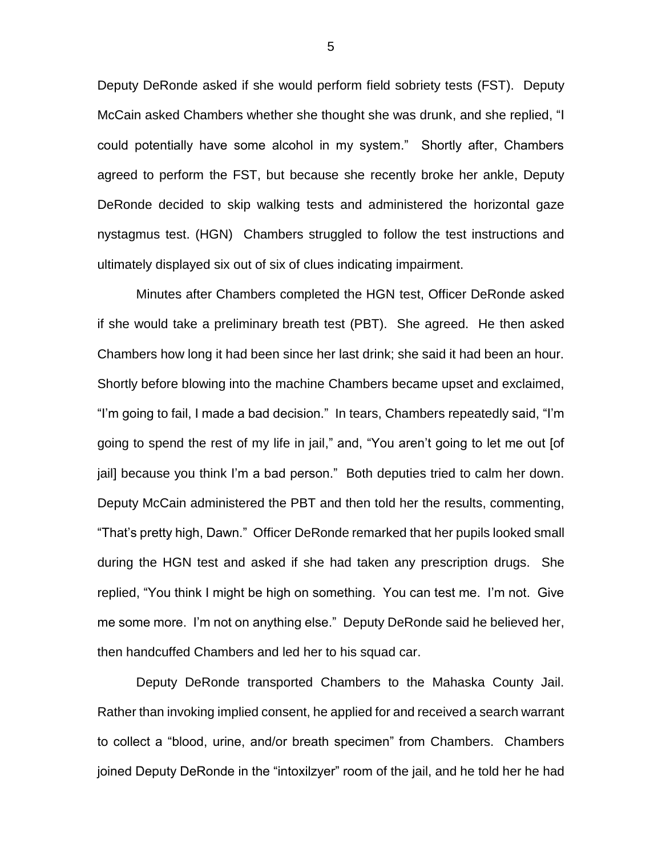Deputy DeRonde asked if she would perform field sobriety tests (FST). Deputy McCain asked Chambers whether she thought she was drunk, and she replied, "I could potentially have some alcohol in my system." Shortly after, Chambers agreed to perform the FST, but because she recently broke her ankle, Deputy DeRonde decided to skip walking tests and administered the horizontal gaze nystagmus test. (HGN) Chambers struggled to follow the test instructions and ultimately displayed six out of six of clues indicating impairment.

Minutes after Chambers completed the HGN test, Officer DeRonde asked if she would take a preliminary breath test (PBT). She agreed. He then asked Chambers how long it had been since her last drink; she said it had been an hour. Shortly before blowing into the machine Chambers became upset and exclaimed, "I'm going to fail, I made a bad decision." In tears, Chambers repeatedly said, "I'm going to spend the rest of my life in jail," and, "You aren't going to let me out [of jail] because you think I'm a bad person." Both deputies tried to calm her down. Deputy McCain administered the PBT and then told her the results, commenting, "That's pretty high, Dawn." Officer DeRonde remarked that her pupils looked small during the HGN test and asked if she had taken any prescription drugs. She replied, "You think I might be high on something. You can test me. I'm not. Give me some more. I'm not on anything else." Deputy DeRonde said he believed her, then handcuffed Chambers and led her to his squad car.

Deputy DeRonde transported Chambers to the Mahaska County Jail. Rather than invoking implied consent, he applied for and received a search warrant to collect a "blood, urine, and/or breath specimen" from Chambers. Chambers joined Deputy DeRonde in the "intoxilzyer" room of the jail, and he told her he had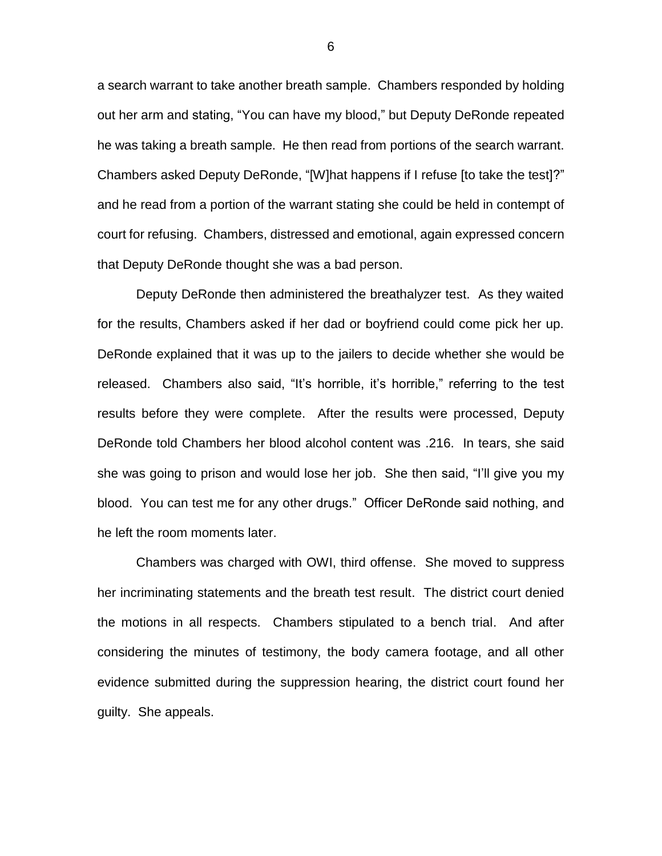a search warrant to take another breath sample. Chambers responded by holding out her arm and stating, "You can have my blood," but Deputy DeRonde repeated he was taking a breath sample. He then read from portions of the search warrant. Chambers asked Deputy DeRonde, "[W]hat happens if I refuse [to take the test]?" and he read from a portion of the warrant stating she could be held in contempt of court for refusing. Chambers, distressed and emotional, again expressed concern that Deputy DeRonde thought she was a bad person.

Deputy DeRonde then administered the breathalyzer test. As they waited for the results, Chambers asked if her dad or boyfriend could come pick her up. DeRonde explained that it was up to the jailers to decide whether she would be released. Chambers also said, "It's horrible, it's horrible," referring to the test results before they were complete. After the results were processed, Deputy DeRonde told Chambers her blood alcohol content was .216. In tears, she said she was going to prison and would lose her job. She then said, "I'll give you my blood. You can test me for any other drugs." Officer DeRonde said nothing, and he left the room moments later.

Chambers was charged with OWI, third offense. She moved to suppress her incriminating statements and the breath test result. The district court denied the motions in all respects. Chambers stipulated to a bench trial. And after considering the minutes of testimony, the body camera footage, and all other evidence submitted during the suppression hearing, the district court found her guilty. She appeals.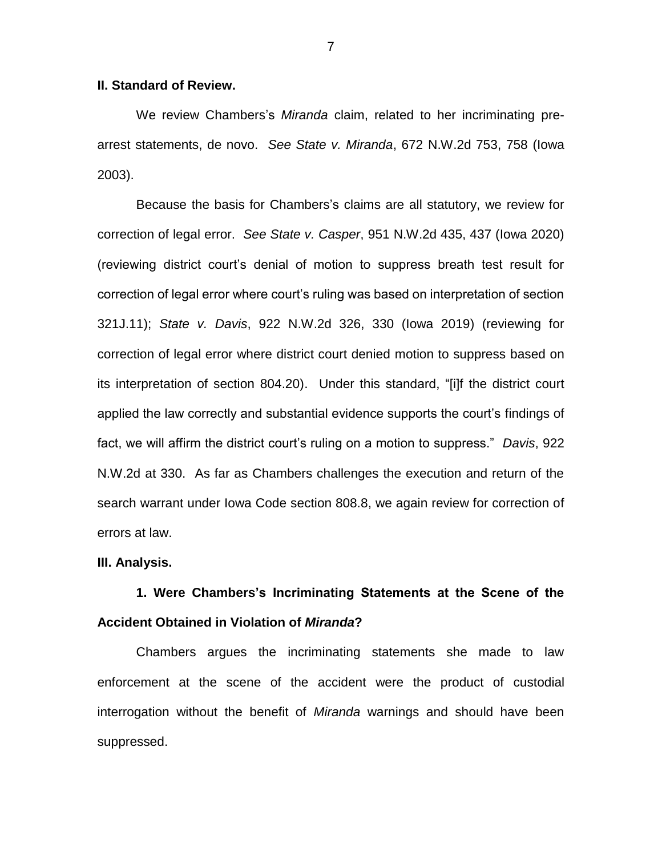### **II. Standard of Review.**

We review Chambers's *Miranda* claim, related to her incriminating prearrest statements, de novo. *See State v. Miranda*, 672 N.W.2d 753, 758 (Iowa 2003).

Because the basis for Chambers's claims are all statutory, we review for correction of legal error. *See State v. Casper*, 951 N.W.2d 435, 437 (Iowa 2020) (reviewing district court's denial of motion to suppress breath test result for correction of legal error where court's ruling was based on interpretation of section 321J.11); *State v. Davis*, 922 N.W.2d 326, 330 (Iowa 2019) (reviewing for correction of legal error where district court denied motion to suppress based on its interpretation of section 804.20). Under this standard, "[i]f the district court applied the law correctly and substantial evidence supports the court's findings of fact, we will affirm the district court's ruling on a motion to suppress." *Davis*, 922 N.W.2d at 330. As far as Chambers challenges the execution and return of the search warrant under Iowa Code section 808.8, we again review for correction of errors at law.

#### **III. Analysis.**

# **1. Were Chambers's Incriminating Statements at the Scene of the Accident Obtained in Violation of** *Miranda***?**

Chambers argues the incriminating statements she made to law enforcement at the scene of the accident were the product of custodial interrogation without the benefit of *Miranda* warnings and should have been suppressed.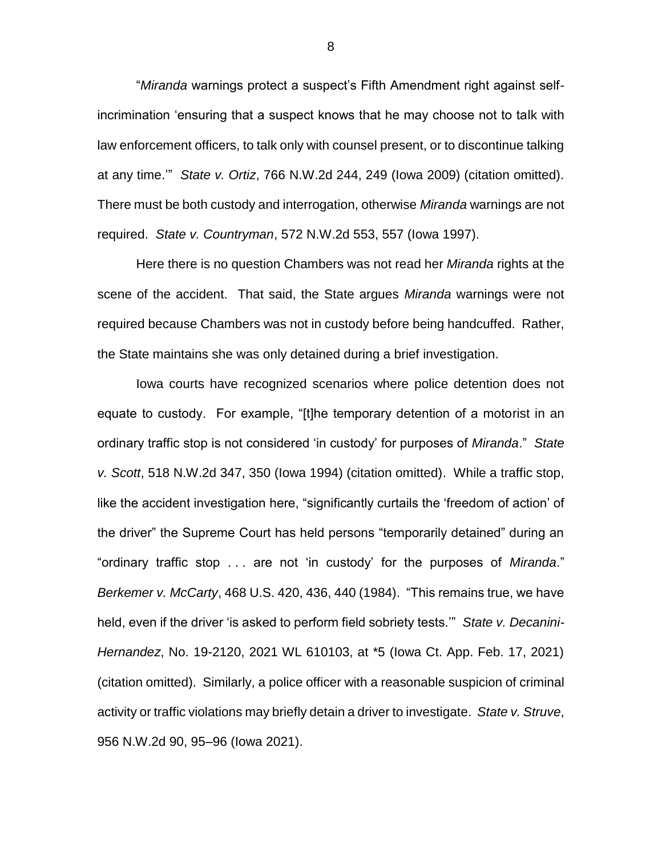"*Miranda* warnings protect a suspect's Fifth Amendment right against selfincrimination 'ensuring that a suspect knows that he may choose not to talk with law enforcement officers, to talk only with counsel present, or to discontinue talking at any time.'" *State v. Ortiz*, 766 N.W.2d 244, 249 (Iowa 2009) (citation omitted). There must be both custody and interrogation, otherwise *Miranda* warnings are not required. *State v. Countryman*, 572 N.W.2d 553, 557 (Iowa 1997).

Here there is no question Chambers was not read her *Miranda* rights at the scene of the accident. That said, the State argues *Miranda* warnings were not required because Chambers was not in custody before being handcuffed. Rather, the State maintains she was only detained during a brief investigation.

Iowa courts have recognized scenarios where police detention does not equate to custody. For example, "[t]he temporary detention of a motorist in an ordinary traffic stop is not considered 'in custody' for purposes of *Miranda*." *State v. Scott*, 518 N.W.2d 347, 350 (Iowa 1994) (citation omitted). While a traffic stop, like the accident investigation here, "significantly curtails the 'freedom of action' of the driver" the Supreme Court has held persons "temporarily detained" during an "ordinary traffic stop . . . are not 'in custody' for the purposes of *Miranda*." *Berkemer v. McCarty*, 468 U.S. 420, 436, 440 (1984). "This remains true, we have held, even if the driver 'is asked to perform field sobriety tests.'" *State v. Decanini-Hernandez*, No. 19-2120, 2021 WL 610103, at \*5 (Iowa Ct. App. Feb. 17, 2021) (citation omitted). Similarly, a police officer with a reasonable suspicion of criminal activity or traffic violations may briefly detain a driver to investigate. *State v. Struve*, 956 N.W.2d 90, 95–96 (Iowa 2021).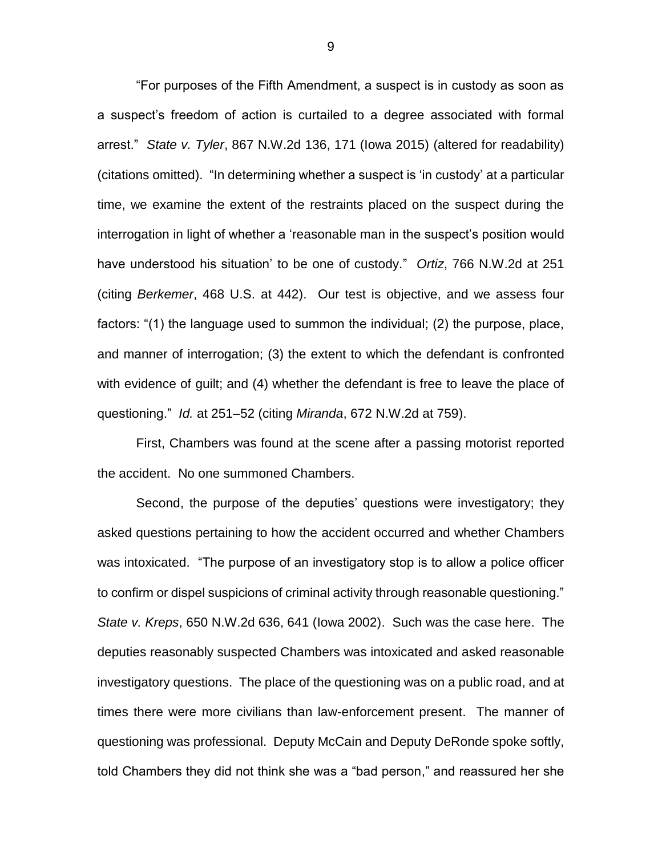"For purposes of the Fifth Amendment, a suspect is in custody as soon as a suspect's freedom of action is curtailed to a degree associated with formal arrest." *State v. Tyler*, 867 N.W.2d 136, 171 (Iowa 2015) (altered for readability) (citations omitted). "In determining whether a suspect is 'in custody' at a particular time, we examine the extent of the restraints placed on the suspect during the interrogation in light of whether a 'reasonable man in the suspect's position would have understood his situation' to be one of custody." *Ortiz*, 766 N.W.2d at 251 (citing *Berkemer*, 468 U.S. at 442). Our test is objective, and we assess four factors: "(1) the language used to summon the individual; (2) the purpose, place, and manner of interrogation; (3) the extent to which the defendant is confronted with evidence of guilt; and (4) whether the defendant is free to leave the place of questioning." *Id.* at 251–52 (citing *Miranda*, 672 N.W.2d at 759).

First, Chambers was found at the scene after a passing motorist reported the accident. No one summoned Chambers.

Second, the purpose of the deputies' questions were investigatory; they asked questions pertaining to how the accident occurred and whether Chambers was intoxicated. "The purpose of an investigatory stop is to allow a police officer to confirm or dispel suspicions of criminal activity through reasonable questioning." *State v. Kreps*, 650 N.W.2d 636, 641 (Iowa 2002). Such was the case here. The deputies reasonably suspected Chambers was intoxicated and asked reasonable investigatory questions. The place of the questioning was on a public road, and at times there were more civilians than law-enforcement present. The manner of questioning was professional. Deputy McCain and Deputy DeRonde spoke softly, told Chambers they did not think she was a "bad person," and reassured her she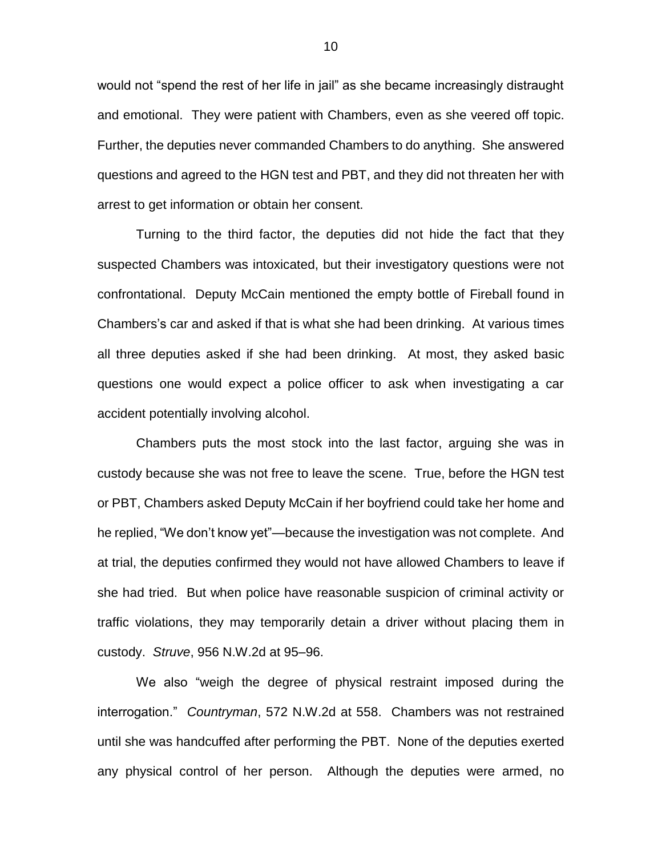would not "spend the rest of her life in jail" as she became increasingly distraught and emotional. They were patient with Chambers, even as she veered off topic. Further, the deputies never commanded Chambers to do anything. She answered questions and agreed to the HGN test and PBT, and they did not threaten her with arrest to get information or obtain her consent.

Turning to the third factor, the deputies did not hide the fact that they suspected Chambers was intoxicated, but their investigatory questions were not confrontational. Deputy McCain mentioned the empty bottle of Fireball found in Chambers's car and asked if that is what she had been drinking. At various times all three deputies asked if she had been drinking. At most, they asked basic questions one would expect a police officer to ask when investigating a car accident potentially involving alcohol.

Chambers puts the most stock into the last factor, arguing she was in custody because she was not free to leave the scene. True, before the HGN test or PBT, Chambers asked Deputy McCain if her boyfriend could take her home and he replied, "We don't know yet"—because the investigation was not complete. And at trial, the deputies confirmed they would not have allowed Chambers to leave if she had tried. But when police have reasonable suspicion of criminal activity or traffic violations, they may temporarily detain a driver without placing them in custody. *Struve*, 956 N.W.2d at 95–96.

We also "weigh the degree of physical restraint imposed during the interrogation." *Countryman*, 572 N.W.2d at 558. Chambers was not restrained until she was handcuffed after performing the PBT. None of the deputies exerted any physical control of her person. Although the deputies were armed, no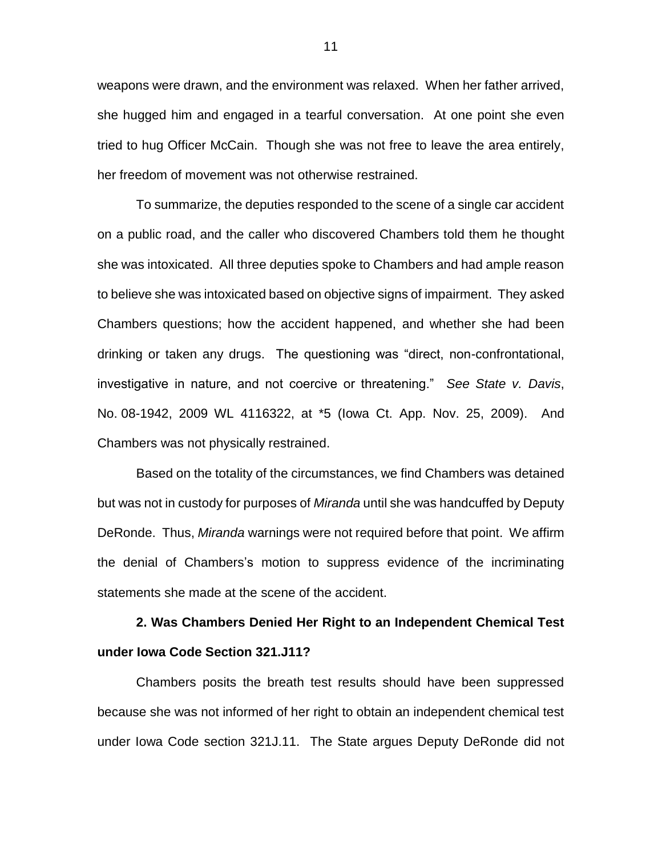weapons were drawn, and the environment was relaxed. When her father arrived, she hugged him and engaged in a tearful conversation. At one point she even tried to hug Officer McCain. Though she was not free to leave the area entirely, her freedom of movement was not otherwise restrained.

To summarize, the deputies responded to the scene of a single car accident on a public road, and the caller who discovered Chambers told them he thought she was intoxicated. All three deputies spoke to Chambers and had ample reason to believe she was intoxicated based on objective signs of impairment. They asked Chambers questions; how the accident happened, and whether she had been drinking or taken any drugs. The questioning was "direct, non-confrontational, investigative in nature, and not coercive or threatening." *See State v. Davis*, No. 08-1942, 2009 WL 4116322, at \*5 (Iowa Ct. App. Nov. 25, 2009). And Chambers was not physically restrained.

Based on the totality of the circumstances, we find Chambers was detained but was not in custody for purposes of *Miranda* until she was handcuffed by Deputy DeRonde. Thus, *Miranda* warnings were not required before that point. We affirm the denial of Chambers's motion to suppress evidence of the incriminating statements she made at the scene of the accident.

**2. Was Chambers Denied Her Right to an Independent Chemical Test under Iowa Code Section 321.J11?** 

Chambers posits the breath test results should have been suppressed because she was not informed of her right to obtain an independent chemical test under Iowa Code section 321J.11. The State argues Deputy DeRonde did not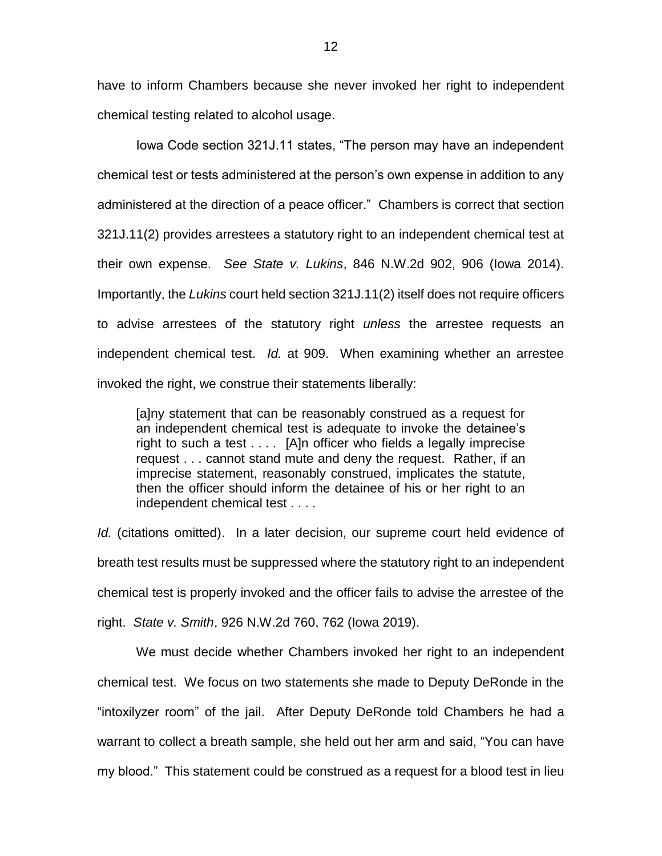have to inform Chambers because she never invoked her right to independent chemical testing related to alcohol usage.

Iowa Code section 321J.11 states, "The person may have an independent chemical test or tests administered at the person's own expense in addition to any administered at the direction of a peace officer." Chambers is correct that section 321J.11(2) provides arrestees a statutory right to an independent chemical test at their own expense. *See State v. Lukins*, 846 N.W.2d 902, 906 (Iowa 2014). Importantly, the *Lukins* court held section 321J.11(2) itself does not require officers to advise arrestees of the statutory right *unless* the arrestee requests an independent chemical test. *Id.* at 909. When examining whether an arrestee invoked the right, we construe their statements liberally:

[a]ny statement that can be reasonably construed as a request for an independent chemical test is adequate to invoke the detainee's right to such a test . . . . [A]n officer who fields a legally imprecise request . . . cannot stand mute and deny the request. Rather, if an imprecise statement, reasonably construed, implicates the statute, then the officer should inform the detainee of his or her right to an independent chemical test . . . .

*Id.* (citations omitted). In a later decision, our supreme court held evidence of breath test results must be suppressed where the statutory right to an independent chemical test is properly invoked and the officer fails to advise the arrestee of the right. *State v. Smith*, 926 N.W.2d 760, 762 (Iowa 2019).

We must decide whether Chambers invoked her right to an independent chemical test. We focus on two statements she made to Deputy DeRonde in the "intoxilyzer room" of the jail. After Deputy DeRonde told Chambers he had a warrant to collect a breath sample, she held out her arm and said, "You can have my blood." This statement could be construed as a request for a blood test in lieu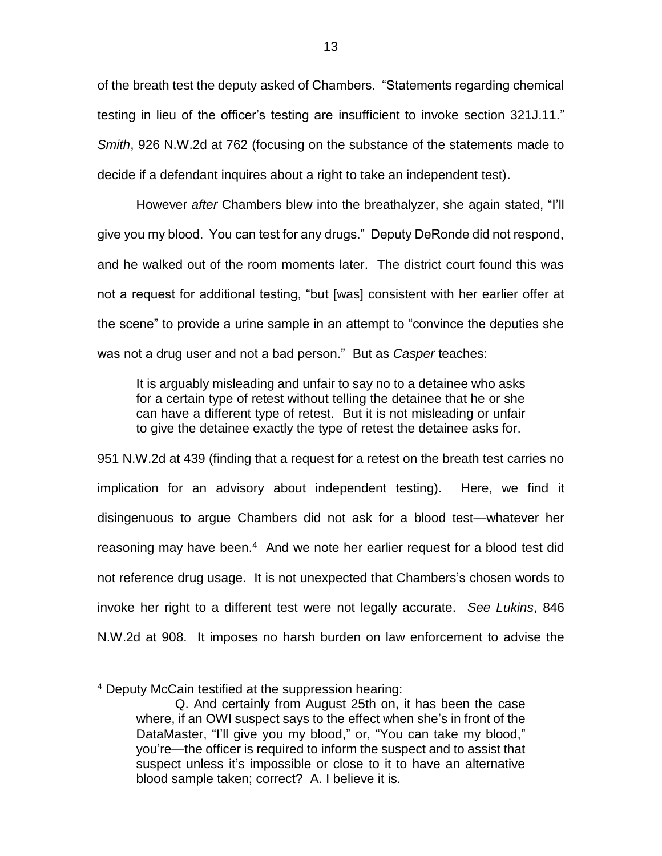of the breath test the deputy asked of Chambers. "Statements regarding chemical testing in lieu of the officer's testing are insufficient to invoke section 321J.11." *Smith*, 926 N.W.2d at 762 (focusing on the substance of the statements made to decide if a defendant inquires about a right to take an independent test).

However *after* Chambers blew into the breathalyzer, she again stated, "I'll give you my blood. You can test for any drugs." Deputy DeRonde did not respond, and he walked out of the room moments later. The district court found this was not a request for additional testing, "but [was] consistent with her earlier offer at the scene" to provide a urine sample in an attempt to "convince the deputies she was not a drug user and not a bad person." But as *Casper* teaches:

It is arguably misleading and unfair to say no to a detainee who asks for a certain type of retest without telling the detainee that he or she can have a different type of retest. But it is not misleading or unfair to give the detainee exactly the type of retest the detainee asks for.

951 N.W.2d at 439 (finding that a request for a retest on the breath test carries no implication for an advisory about independent testing). Here, we find it disingenuous to argue Chambers did not ask for a blood test—whatever her reasoning may have been.<sup>4</sup> And we note her earlier request for a blood test did not reference drug usage. It is not unexpected that Chambers's chosen words to invoke her right to a different test were not legally accurate. *See Lukins*, 846 N.W.2d at 908. It imposes no harsh burden on law enforcement to advise the

 $\overline{a}$ 

<sup>4</sup> Deputy McCain testified at the suppression hearing:

Q. And certainly from August 25th on, it has been the case where, if an OWI suspect says to the effect when she's in front of the DataMaster, "I'll give you my blood," or, "You can take my blood," you're—the officer is required to inform the suspect and to assist that suspect unless it's impossible or close to it to have an alternative blood sample taken; correct? A. I believe it is.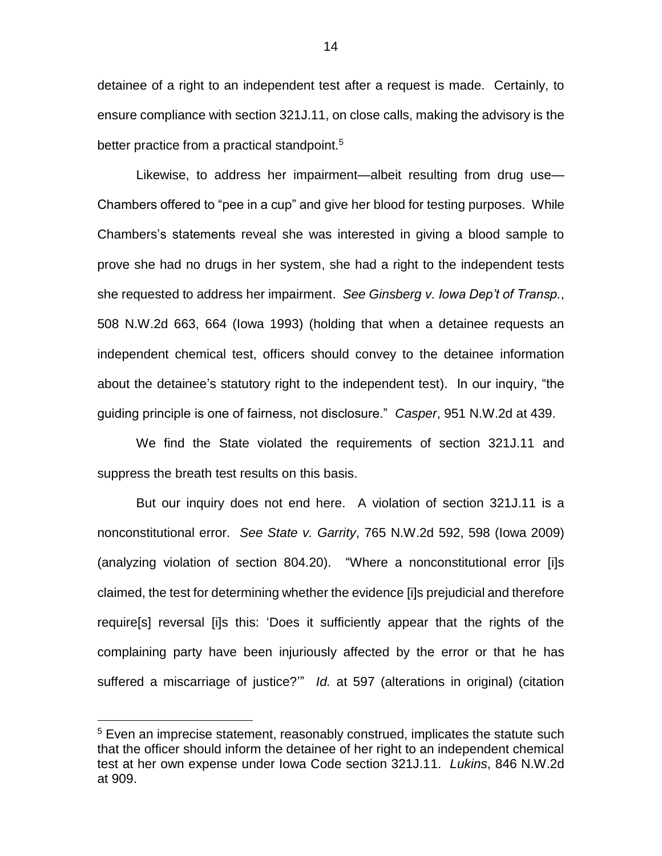detainee of a right to an independent test after a request is made. Certainly, to ensure compliance with section 321J.11, on close calls, making the advisory is the better practice from a practical standpoint.<sup>5</sup>

Likewise, to address her impairment—albeit resulting from drug use— Chambers offered to "pee in a cup" and give her blood for testing purposes. While Chambers's statements reveal she was interested in giving a blood sample to prove she had no drugs in her system, she had a right to the independent tests she requested to address her impairment. *See Ginsberg v. Iowa Dep't of Transp.*, 508 N.W.2d 663, 664 (Iowa 1993) (holding that when a detainee requests an independent chemical test, officers should convey to the detainee information about the detainee's statutory right to the independent test). In our inquiry, "the guiding principle is one of fairness, not disclosure." *Casper*, 951 N.W.2d at 439.

We find the State violated the requirements of section 321J.11 and suppress the breath test results on this basis.

But our inquiry does not end here. A violation of section 321J.11 is a nonconstitutional error. *See State v. Garrity*, 765 N.W.2d 592, 598 (Iowa 2009) (analyzing violation of section 804.20). "Where a nonconstitutional error [i]s claimed, the test for determining whether the evidence [i]s prejudicial and therefore require[s] reversal [i]s this: 'Does it sufficiently appear that the rights of the complaining party have been injuriously affected by the error or that he has suffered a miscarriage of justice?'" *Id.* at 597 (alterations in original) (citation

 $\overline{a}$ 

<sup>&</sup>lt;sup>5</sup> Even an imprecise statement, reasonably construed, implicates the statute such that the officer should inform the detainee of her right to an independent chemical test at her own expense under Iowa Code section 321J.11. *Lukins*, 846 N.W.2d at 909.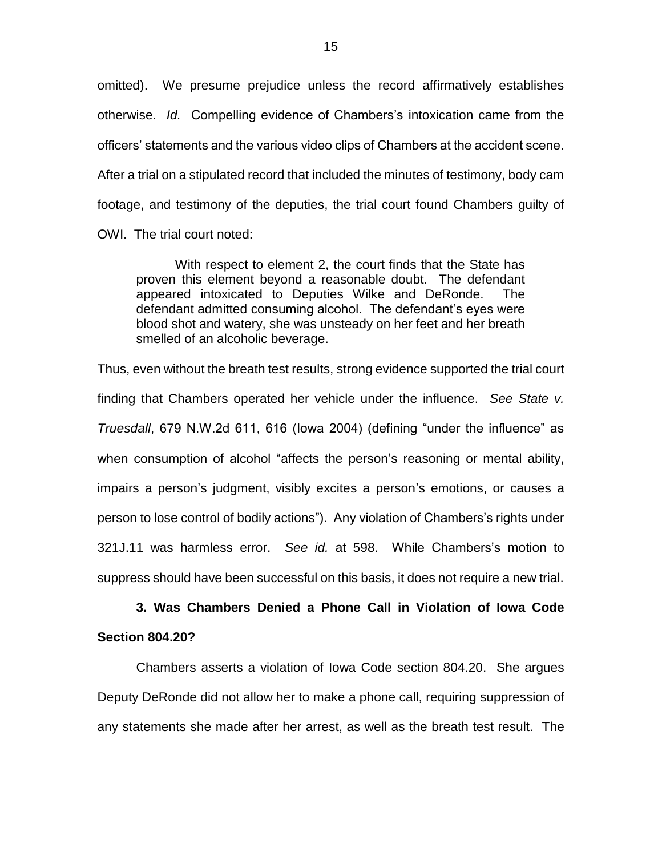omitted). We presume prejudice unless the record affirmatively establishes otherwise. *Id.* Compelling evidence of Chambers's intoxication came from the officers' statements and the various video clips of Chambers at the accident scene. After a trial on a stipulated record that included the minutes of testimony, body cam footage, and testimony of the deputies, the trial court found Chambers guilty of OWI. The trial court noted:

With respect to element 2, the court finds that the State has proven this element beyond a reasonable doubt. The defendant appeared intoxicated to Deputies Wilke and DeRonde. The defendant admitted consuming alcohol. The defendant's eyes were blood shot and watery, she was unsteady on her feet and her breath smelled of an alcoholic beverage.

Thus, even without the breath test results, strong evidence supported the trial court finding that Chambers operated her vehicle under the influence. *See State v. Truesdall*, 679 N.W.2d 611, 616 (Iowa 2004) (defining "under the influence" as when consumption of alcohol "affects the person's reasoning or mental ability, impairs a person's judgment, visibly excites a person's emotions, or causes a person to lose control of bodily actions"). Any violation of Chambers's rights under 321J.11 was harmless error. *See id.* at 598. While Chambers's motion to suppress should have been successful on this basis, it does not require a new trial.

# **3. Was Chambers Denied a Phone Call in Violation of Iowa Code Section 804.20?**

Chambers asserts a violation of Iowa Code section 804.20. She argues Deputy DeRonde did not allow her to make a phone call, requiring suppression of any statements she made after her arrest, as well as the breath test result. The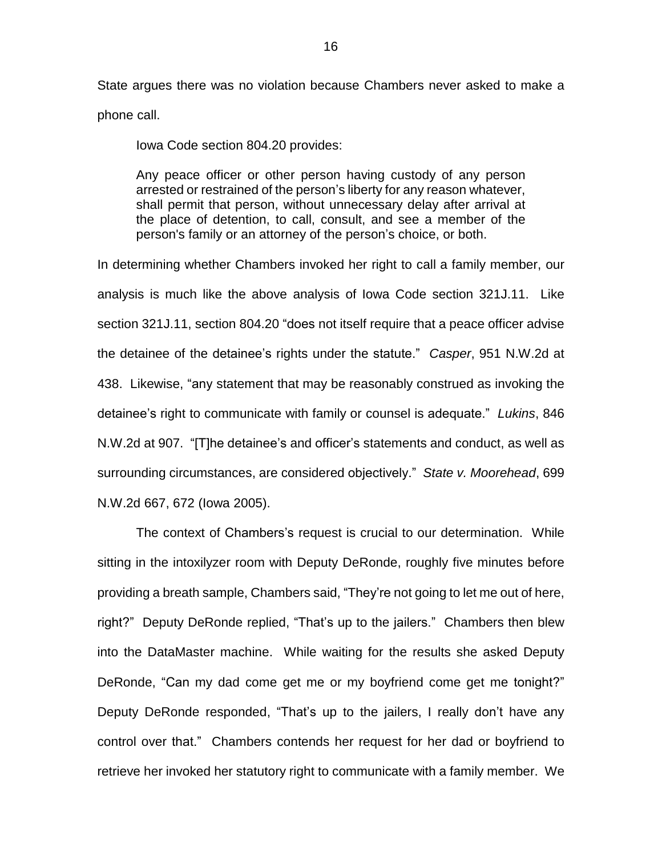State argues there was no violation because Chambers never asked to make a phone call.

Iowa Code section 804.20 provides:

Any peace officer or other person having custody of any person arrested or restrained of the person's liberty for any reason whatever, shall permit that person, without unnecessary delay after arrival at the place of detention, to call, consult, and see a member of the person's family or an attorney of the person's choice, or both.

In determining whether Chambers invoked her right to call a family member, our analysis is much like the above analysis of Iowa Code section 321J.11. Like section 321J.11, section 804.20 "does not itself require that a peace officer advise the detainee of the detainee's rights under the statute." *Casper*, 951 N.W.2d at 438. Likewise, "any statement that may be reasonably construed as invoking the detainee's right to communicate with family or counsel is adequate." *Lukins*, 846 N.W.2d at 907. "[T]he detainee's and officer's statements and conduct, as well as surrounding circumstances, are considered objectively." *State v. Moorehead*, 699 N.W.2d 667, 672 (Iowa 2005).

The context of Chambers's request is crucial to our determination. While sitting in the intoxilyzer room with Deputy DeRonde, roughly five minutes before providing a breath sample, Chambers said, "They're not going to let me out of here, right?" Deputy DeRonde replied, "That's up to the jailers." Chambers then blew into the DataMaster machine. While waiting for the results she asked Deputy DeRonde, "Can my dad come get me or my boyfriend come get me tonight?" Deputy DeRonde responded, "That's up to the jailers, I really don't have any control over that." Chambers contends her request for her dad or boyfriend to retrieve her invoked her statutory right to communicate with a family member. We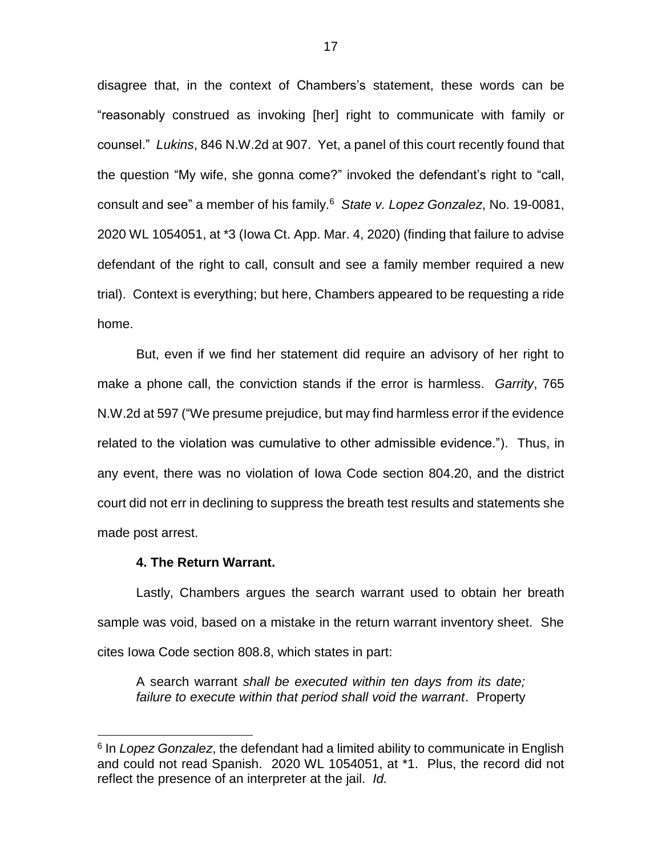disagree that, in the context of Chambers's statement, these words can be "reasonably construed as invoking [her] right to communicate with family or counsel." *Lukins*, 846 N.W.2d at 907. Yet, a panel of this court recently found that the question "My wife, she gonna come?" invoked the defendant's right to "call, consult and see" a member of his family.<sup>6</sup> *State v. Lopez Gonzalez*, No. 19-0081, 2020 WL 1054051, at \*3 (Iowa Ct. App. Mar. 4, 2020) (finding that failure to advise defendant of the right to call, consult and see a family member required a new trial). Context is everything; but here, Chambers appeared to be requesting a ride home.

But, even if we find her statement did require an advisory of her right to make a phone call, the conviction stands if the error is harmless. *Garrity*, 765 N.W.2d at 597 ("We presume prejudice, but may find harmless error if the evidence related to the violation was cumulative to other admissible evidence."). Thus, in any event, there was no violation of Iowa Code section 804.20, and the district court did not err in declining to suppress the breath test results and statements she made post arrest.

#### **4. The Return Warrant.**

 $\overline{a}$ 

Lastly, Chambers argues the search warrant used to obtain her breath sample was void, based on a mistake in the return warrant inventory sheet. She cites Iowa Code section 808.8, which states in part:

A search warrant *shall be executed within ten days from its date; failure to execute within that period shall void the warrant*. Property

<sup>6</sup> In *Lopez Gonzalez*, the defendant had a limited ability to communicate in English and could not read Spanish. 2020 WL 1054051, at \*1. Plus, the record did not reflect the presence of an interpreter at the jail. *Id.*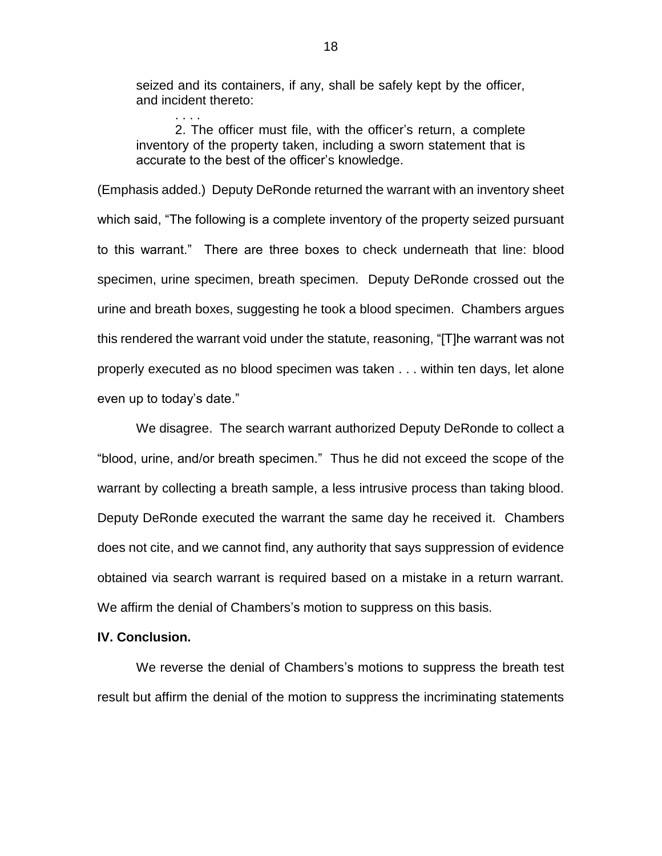seized and its containers, if any, shall be safely kept by the officer, and incident thereto:

. . . .

2. The officer must file, with the officer's return, a complete inventory of the property taken, including a sworn statement that is accurate to the best of the officer's knowledge.

(Emphasis added.) Deputy DeRonde returned the warrant with an inventory sheet which said, "The following is a complete inventory of the property seized pursuant to this warrant." There are three boxes to check underneath that line: blood specimen, urine specimen, breath specimen. Deputy DeRonde crossed out the urine and breath boxes, suggesting he took a blood specimen. Chambers argues this rendered the warrant void under the statute, reasoning, "[T]he warrant was not properly executed as no blood specimen was taken . . . within ten days, let alone even up to today's date."

We disagree. The search warrant authorized Deputy DeRonde to collect a "blood, urine, and/or breath specimen." Thus he did not exceed the scope of the warrant by collecting a breath sample, a less intrusive process than taking blood. Deputy DeRonde executed the warrant the same day he received it. Chambers does not cite, and we cannot find, any authority that says suppression of evidence obtained via search warrant is required based on a mistake in a return warrant. We affirm the denial of Chambers's motion to suppress on this basis.

## **IV. Conclusion.**

We reverse the denial of Chambers's motions to suppress the breath test result but affirm the denial of the motion to suppress the incriminating statements